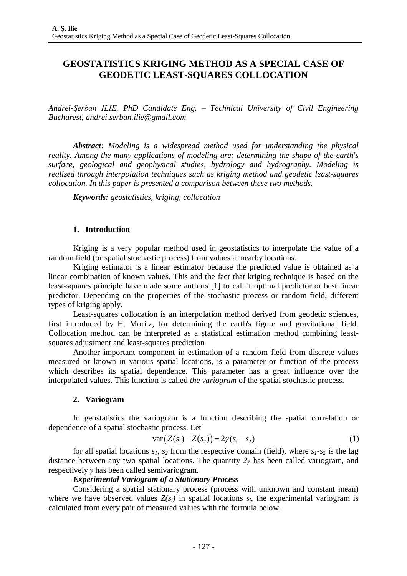# **GEOSTATISTICS KRIGING METHOD AS A SPECIAL CASE OF GEODETIC LEAST-SQUARES COLLOCATION**

*Andrei-Şerban ILIE, PhD Candidate Eng. – Technical University of Civil Engineering Bucharest, [andrei.serban.ilie@gmail.com](mailto:andrei.serban.ilie@gmail.com)*

*Abstract: Modeling is a widespread method used for understanding the physical reality. Among the many applications of modeling are: determining the shape of the earth's surface, geological and geophysical studies, hydrology and hydrography. Modeling is realized through interpolation techniques such as kriging method and geodetic least-squares collocation. In this paper is presented a comparison between these two methods.*

*Keywords: geostatistics, kriging, collocation*

### **1. Introduction**

Kriging is a very popular method used in geostatistics to interpolate the value of a random field (or spatial stochastic process) from values at nearby locations.

Kriging estimator is a linear estimator because the predicted value is obtained as a linear combination of known values. This and the fact that kriging technique is based on the least-squares principle have made some authors [1] to call it optimal predictor or best linear predictor. Depending on the properties of the stochastic process or random field, different types of kriging apply.

Least-squares collocation is an interpolation method derived from geodetic sciences, first introduced by H. Moritz, for determining the earth's figure and gravitational field. Collocation method can be interpreted as a statistical estimation method combining leastsquares adjustment and least-squares prediction

Another important component in estimation of a random field from discrete values measured or known in various spatial locations, is a parameter or function of the process which describes its spatial dependence. This parameter has a great influence over the interpolated values. This function is called *the variogram* of the spatial stochastic process.

### **2. Variogram**

In geostatistics the variogram is a function describing the spatial correlation or dependence of a spatial stochastic process. Let

$$
var(Z(s_1) - Z(s_2)) = 2\gamma(s_1 - s_2)
$$
\n(1)

for all spatial locations  $s_1$ ,  $s_2$  from the respective domain (field), where  $s_1$ - $s_2$  is the lag distance between any two spatial locations. The quantity *2γ* has been called variogram, and respectively *γ* has been called semivariogram.

### *Experimental Variogram of a Stationary Process*

Considering a spatial stationary process (process with unknown and constant mean) where we have observed values  $Z(s_i)$  in spatial locations  $s_i$ , the experimental variogram is calculated from every pair of measured values with the formula below.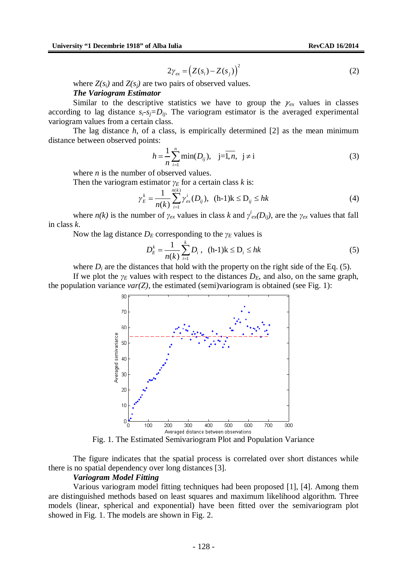$$
2\gamma_{ex} = (Z(s_i) - Z(s_j))^2
$$
 (2)

where  $Z(s_i)$  and  $Z(s_i)$  are two pairs of observed values.

#### *The Variogram Estimator*

Similar to the descriptive statistics we have to group the  $\gamma_{ex}$  values in classes according to lag distance  $s_i$ - $s_j = D_i$ . The variogram estimator is the averaged experimental variogram values from a certain class.

The lag distance  $h$ , of a class, is empirically determined  $[2]$  as the mean minimum distance between observed points:

$$
h = \frac{1}{n} \sum_{i=1}^{n} \min(D_{ij}), \quad j = \overline{1, n}, \quad j \neq i
$$
 (3)

where *n* is the number of observed values.

Then the variogram estimator  $\gamma_E$  for a certain class *k* is:

$$
\gamma_E^k = \frac{1}{n(k)} \sum_{i=1}^{n(k)} \gamma_{ex}^i(D_{ij}), \ \ (h-1)k \le D_{ij} \le hk \tag{4}
$$

where *n(k)* is the number of  $\gamma_{ex}$  values in class *k* and  $\gamma_{ex}^{i}(D_{ij})$ , are the  $\gamma_{ex}$  values that fall in class *k*.

Now the lag distance  $D_E$  corresponding to the  $\gamma_E$  values is

$$
D_E^k = \frac{1}{n(k)} \sum_{i=1}^k D_i , \quad (h-1)k \le D_i \le hk \tag{5}
$$

where  $D_i$  are the distances that hold with the property on the right side of the Eq. (5).

If we plot the *γ<sup>E</sup>* values with respect to the distances *DE*, and also, on the same graph, the population variance  $var(Z)$ , the estimated (semi)variogram is obtained (see Fig. 1):



Fig. 1. The Estimated Semivariogram Plot and Population Variance

The figure indicates that the spatial process is correlated over short distances while there is no spatial dependency over long distances [3].

#### *Variogram Model Fitting*

Various variogram model fitting techniques had been proposed [1], [4]. Among them are distinguished methods based on least squares and maximum likelihood algorithm. Three models (linear, spherical and exponential) have been fitted over the semivariogram plot showed in Fig. 1. The models are shown in Fig. 2.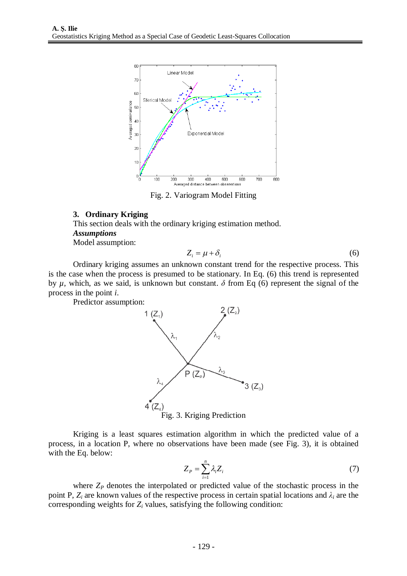

Fig. 2. Variogram Model Fitting

### **3. Ordinary Kriging**

This section deals with the ordinary kriging estimation method. *Assumptions*

Model assumption:

$$
Z_i = \mu + \delta_i \tag{6}
$$

Ordinary kriging assumes an unknown constant trend for the respective process. This is the case when the process is presumed to be stationary. In Eq. (6) this trend is represented by  $\mu$ , which, as we said, is unknown but constant.  $\delta$  from Eq (6) represent the signal of the process in the point *i*.

Predictor assumption:





Kriging is a least squares estimation algorithm in which the predicted value of a process, in a location P, where no observations have been made (see Fig. 3), it is obtained with the Eq. below:

$$
Z_P = \sum_{i=1}^n \lambda_i Z_i \tag{7}
$$

where  $Z_p$  denotes the interpolated or predicted value of the stochastic process in the point P,  $Z_i$  are known values of the respective process in certain spatial locations and  $\lambda_i$  are the corresponding weights for  $Z_i$  values, satisfying the following condition: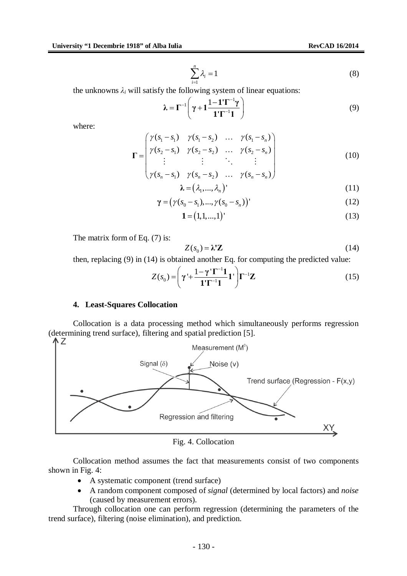$$
\sum_{i=1}^{n} \lambda_i = 1 \tag{8}
$$

the unknowns  $\lambda_i$  will satisfy the following system of linear equations:

$$
\lambda = \Gamma^{-1} \left( \gamma + 1 \frac{1 - 1' \Gamma^{-1} \gamma}{1' \Gamma^{-1} 1} \right) \tag{9}
$$

where:

$$
\Gamma = \begin{pmatrix} \gamma(s_1 - s_1) & \gamma(s_1 - s_2) & \dots & \gamma(s_1 - s_n) \\ \gamma(s_2 - s_1) & \gamma(s_2 - s_2) & \dots & \gamma(s_2 - s_n) \\ \vdots & \vdots & \ddots & \vdots \\ \gamma(s_n - s_1) & \gamma(s_n - s_2) & \dots & \gamma(s_n - s_n) \end{pmatrix}
$$
(10)

$$
\lambda = (\lambda_1, ..., \lambda_n)'
$$
 (11)

$$
\gamma = (\gamma(s_0 - s_1), ..., \gamma(s_0 - s_n))'
$$
\n(12)

$$
\mathbf{1} = (1, 1, \dots, 1)'
$$
 (13)

The matrix form of Eq. (7) is:

$$
Z(s_0) = \lambda' \mathbf{Z} \tag{14}
$$

then, replacing (9) in (14) is obtained another Eq. for computing the predicted value:

$$
Z(s_0) = \left(\gamma' + \frac{1 - \gamma' \Gamma^{-1} \mathbf{1}}{\mathbf{1}' \Gamma^{-1} \mathbf{1}} \mathbf{1}'\right) \Gamma^{-1} \mathbf{Z}
$$
(15)

### **4. Least-Squares Collocation**

Collocation is a data processing method which simultaneously performs regression (determining trend surface), filtering and spatial prediction [5].  $\Lambda$  Z



Fig. 4. Collocation

Collocation method assumes the fact that measurements consist of two components shown in Fig. 4:

- A systematic component (trend surface)
- A random component composed of *signal* (determined by local factors) and *noise* (caused by measurement errors).

Through collocation one can perform regression (determining the parameters of the trend surface), filtering (noise elimination), and prediction.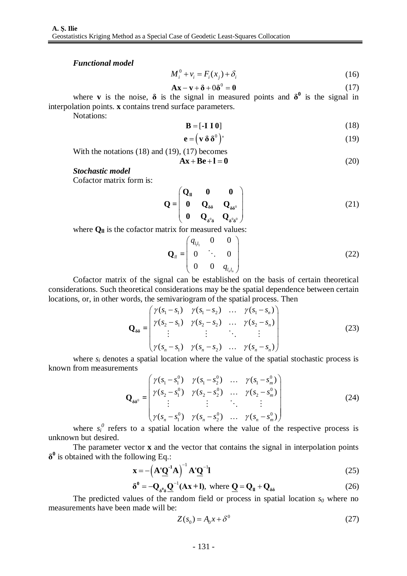#### *Functional model*

$$
M_i^0 + v_i = F_i(x_j) + \delta_i \tag{16}
$$

$$
\mathbf{A}\mathbf{x} - \mathbf{v} + \mathbf{\delta} + 0\mathbf{\delta}^0 = \mathbf{0}
$$
 (17)

where **v** is the noise,  $\delta$  is the signal in measured points and  $\delta^0$  is the signal in interpolation points. **x** contains trend surface parameters.

Notations:

$$
\mathbf{B} = \left[ -\mathbf{I} \; \mathbf{I} \; \mathbf{0} \right] \tag{18}
$$

$$
\mathbf{e} = (\mathbf{v} \, \mathbf{\delta} \, \mathbf{\delta}^0)'
$$
 (19)

With the notations (18) and (19), (17) becomes  
\n
$$
Ax + Be + I = 0
$$
\n(20)

#### *Stochastic model*

Cofactor matrix form is:

$$
\mathbf{Q} = \begin{pmatrix} \mathbf{Q}_{\mathbf{I}} & \mathbf{0} & \mathbf{0} \\ \mathbf{0} & \mathbf{Q}_{\delta\delta} & \mathbf{Q}_{\delta\delta^0} \\ \mathbf{0} & \mathbf{Q}_{\delta^0\delta} & \mathbf{Q}_{\delta^0\delta^0} \end{pmatrix}
$$
(21)

where  $Q_{\parallel}$  is the cofactor matrix for measured values:

$$
\mathbf{Q}_{ll} = \begin{pmatrix} q_{l_1 l_1} & 0 & 0 \\ 0 & \ddots & 0 \\ 0 & 0 & q_{l_n l_n} \end{pmatrix}
$$
 (22)

Cofactor matrix of the signal can be established on the basis of certain theoretical considerations. Such theoretical considerations may be the spatial dependence between certain locations, or, in other words, the semivariogram of the spatial process. Then

$$
\mathbf{Q}_{\delta\delta} = \begin{pmatrix} \gamma(s_1 - s_1) & \gamma(s_1 - s_2) & \dots & \gamma(s_1 - s_n) \\ \gamma(s_2 - s_1) & \gamma(s_2 - s_2) & \dots & \gamma(s_2 - s_n) \\ \vdots & \vdots & \ddots & \vdots \\ \gamma(s_n - s_1) & \gamma(s_n - s_2) & \dots & \gamma(s_n - s_n) \end{pmatrix}
$$
(23)

where  $s_i$  denotes a spatial location where the value of the spatial stochastic process is known from measurements

$$
\mathbf{Q}_{\delta\delta^{0}} = \begin{pmatrix} \gamma(s_{1} - s_{1}^{0}) & \gamma(s_{1} - s_{2}^{0}) & \dots & \gamma(s_{1} - s_{m}^{0}) \\ \gamma(s_{2} - s_{1}^{0}) & \gamma(s_{2} - s_{2}^{0}) & \dots & \gamma(s_{2} - s_{m}^{0}) \\ \vdots & \vdots & \ddots & \vdots \\ \gamma(s_{n} - s_{1}^{0}) & \gamma(s_{n} - s_{2}^{0}) & \dots & \gamma(s_{n} - s_{m}^{0}) \end{pmatrix}
$$
(24)

where  $s_i^0$  refers to a spatial location where the value of the respective process is unknown but desired.

The parameter vector **x** and the vector that contains the signal in interpolation points **δ 0** is obtained with the following Eq.:

$$
\mathbf{x} = -\left(\mathbf{A}^{\dagger} \underline{\mathbf{Q}}^{-1} \mathbf{A}\right)^{-1} \mathbf{A}^{\dagger} \underline{\mathbf{Q}}^{-1} \mathbf{I}
$$
 (25)

$$
\delta^0 = -\mathbf{Q}_{\delta^0 \delta} \underline{\mathbf{Q}}^{-1} (\mathbf{A} \mathbf{x} + \mathbf{I}), \text{ where } \underline{\mathbf{Q}} = \mathbf{Q}_{\mathbf{I}} + \mathbf{Q}_{\delta \delta}
$$
 (26)

The predicted values of the random field or process in spatial location  $s_0$  where no measurements have been made will be:

$$
Z(s_0) = A_0 x + \delta^0 \tag{27}
$$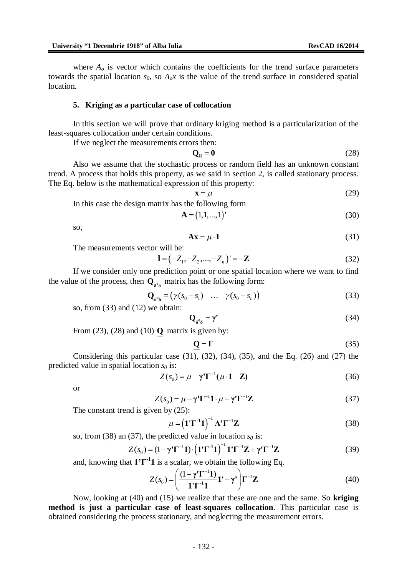where  $A<sub>o</sub>$  is vector which contains the coefficients for the trend surface parameters towards the spatial location  $s_0$ , so  $A_0x$  is the value of the trend surface in considered spatial location.

#### **5. Kriging as a particular case of collocation**

In this section we will prove that ordinary kriging method is a particularization of the least-squares collocation under certain conditions.

If we neglect the measurements errors then:

$$
\mathbf{Q}_{\mathbf{I}} = \mathbf{0} \tag{28}
$$

Also we assume that the stochastic process or random field has an unknown constant trend. A process that holds this property, as we said in section 2, is called stationary process. The Eq. below is the mathematical expression of this property:

$$
\mathbf{x} = \mu \tag{29}
$$

In this case the design matrix has the following form

$$
\mathbf{A} = (1, 1, ..., 1)^{\top} \tag{30}
$$

so,

$$
Ax = \mu \cdot 1 \tag{31}
$$

The measurements vector will be:

$$
\mathbf{l} = (-Z_1, -Z_2, ..., -Z_n)' = -\mathbf{Z}
$$
 (32)

If we consider only one prediction point or one spatial location where we want to find the value of the process, then  $\mathbf{Q}_{\delta^0\delta}$  matrix has the following form:

$$
\mathbf{Q}_{\delta^0 \delta} = (\gamma (s_0 - s_1) \quad \dots \quad \gamma (s_0 - s_n)) \tag{33}
$$

so, from (33) and (12) we obtain:

$$
\mathbf{Q}_{\delta^0 \delta} = \gamma' \tag{34}
$$

From (23), (28) and (10) **Q** matrix is given by:

$$
\mathbf{Q} = \Gamma \tag{35}
$$

Considering this particular case  $(31)$ ,  $(32)$ ,  $(34)$ ,  $(35)$ , and the Eq.  $(26)$  and  $(27)$  the predicted value in spatial location *s<sup>0</sup>* is:

$$
Z(s_0) = \mu - \gamma' \Gamma^{-1} (\mu \cdot \mathbf{1} - \mathbf{Z})
$$
 (36)

or

$$
Z(s_0) = \mu - \gamma' \Gamma^{-1} \mathbf{1} \cdot \mu + \gamma' \Gamma^{-1} \mathbf{Z}
$$
 (37)

The constant trend is given by  $(25)$ :

$$
\mu = \left(\mathbf{1}^{\prime}\mathbf{\Gamma}^{\cdot 1}\mathbf{1}\right)^{-1}\mathbf{A}^{\prime}\mathbf{\Gamma}^{-1}\mathbf{Z}
$$
\n(38)

so, from (38) an (37), the predicted value in location  $s_0$  is:

$$
Z(s_0) = (1 - \gamma^{\prime} \Gamma^{-1} \mathbf{1}) \cdot (\mathbf{1}^{\prime} \Gamma^{-1} \mathbf{1})^{-1} \mathbf{1}^{\prime} \Gamma^{-1} \mathbf{Z} + \gamma^{\prime} \Gamma^{-1} \mathbf{Z}
$$
 (39)

and, knowing that **1'Γ -1 1** is a scalar, we obtain the following Eq.

$$
Z(s_0) = \left(\frac{(1-\gamma'\Gamma^{-1}\mathbf{1})}{\mathbf{1}'\Gamma^{-1}\mathbf{1}}\mathbf{1}' + \gamma'\right)\Gamma^{-1}\mathbf{Z}
$$
(40)

Now, looking at (40) and (15) we realize that these are one and the same. So **kriging method is just a particular case of least-squares collocation**. This particular case is obtained considering the process stationary, and neglecting the measurement errors.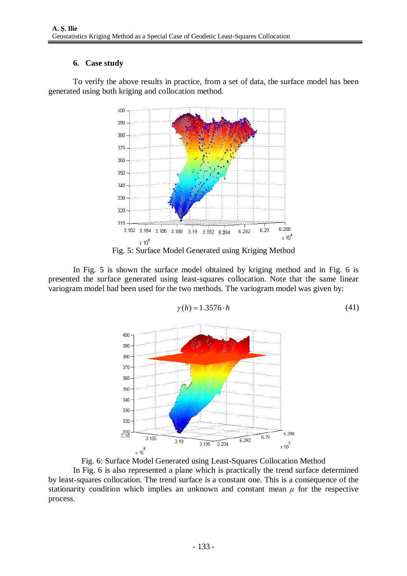# **6. Case study**

To verify the above results in practice, from a set of data, the surface model has been generated using both kriging and collocation method.



In Fig. 5 is shown the surface model obtained by kriging method and in Fig. 6 is presented the surface generated using least-squares collocation. Note that the same linear variogram model had been used for the two methods. The variogram model was given by:



 $\gamma(h) = 1.3576 \cdot h$  (41)

Fig. 6: Surface Model Generated using Least-Squares Collocation Method

In Fig. 6 is also represented a plane which is practically the trend surface determined by least-squares collocation. The trend surface is a constant one. This is a consequence of the stationarity condition which implies an unknown and constant mean  $\mu$  for the respective process.